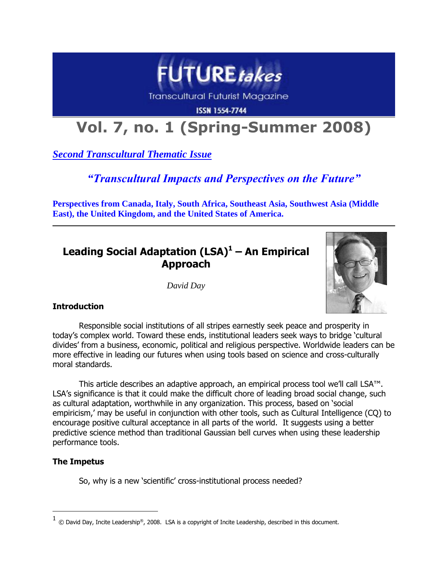

Transcultural Futurist Magazine

**ISSN 1554-7744** 

# **Vol. 7, no. 1 (Spring-Summer 2008)**

*Second Transcultural Thematic Issue*

# *"Transcultural Impacts and Perspectives on the Future"*

**Perspectives from Canada, Italy, South Africa, Southeast Asia, Southwest Asia (Middle East), the United Kingdom, and the United States of America.**

# **Leading Social Adaptation (LSA)<sup>1</sup> – An Empirical Approach**

*David Day*



# **Introduction**

Responsible social institutions of all stripes earnestly seek peace and prosperity in today"s complex world. Toward these ends, institutional leaders seek ways to bridge "cultural divides" from a business, economic, political and religious perspective. Worldwide leaders can be more effective in leading our futures when using tools based on science and cross-culturally moral standards.

This article describes an adaptive approach, an empirical process tool we"ll call LSA™. LSA"s significance is that it could make the difficult chore of leading broad social change, such as cultural adaptation, worthwhile in any organization. This process, based on "social empiricism,' may be useful in conjunction with other tools, such as Cultural Intelligence (CQ) to encourage positive cultural acceptance in all parts of the world. It suggests using a better predictive science method than traditional Gaussian bell curves when using these leadership performance tools.

# **The Impetus**

 $\overline{a}$ 

So, why is a new 'scientific' cross-institutional process needed?

<sup>1</sup> © David Day, Incite Leadership®, 2008. LSA is a copyright of Incite Leadership, described in this document.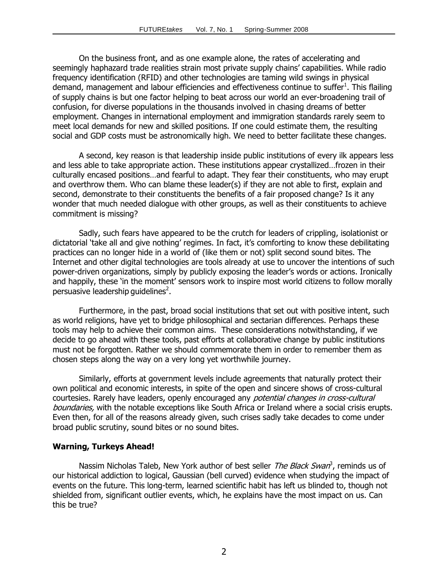On the business front, and as one example alone, the rates of accelerating and seemingly haphazard trade realities strain most private supply chains' capabilities. While radio frequency identification (RFID) and other technologies are taming wild swings in physical demand, management and labour efficiencies and effectiveness continue to suffer<sup>1</sup>. This flailing of supply chains is but one factor helping to beat across our world an ever-broadening trail of confusion, for diverse populations in the thousands involved in chasing dreams of better employment. Changes in international employment and immigration standards rarely seem to meet local demands for new and skilled positions. If one could estimate them, the resulting social and GDP costs must be astronomically high. We need to better facilitate these changes.

A second, key reason is that leadership inside public institutions of every ilk appears less and less able to take appropriate action. These institutions appear crystallized…frozen in their culturally encased positions…and fearful to adapt. They fear their constituents, who may erupt and overthrow them. Who can blame these leader(s) if they are not able to first, explain and second, demonstrate to their constituents the benefits of a fair proposed change? Is it any wonder that much needed dialogue with other groups, as well as their constituents to achieve commitment is missing?

Sadly, such fears have appeared to be the crutch for leaders of crippling, isolationist or dictatorial 'take all and give nothing' regimes. In fact, it's comforting to know these debilitating practices can no longer hide in a world of (like them or not) split second sound bites. The Internet and other digital technologies are tools already at use to uncover the intentions of such power-driven organizations, simply by publicly exposing the leader"s words or actions. Ironically and happily, these 'in the moment' sensors work to inspire most world citizens to follow morally persuasive leadership guidelines $^2$ .

Furthermore, in the past, broad social institutions that set out with positive intent, such as world religions, have yet to bridge philosophical and sectarian differences. Perhaps these tools may help to achieve their common aims. These considerations notwithstanding, if we decide to go ahead with these tools, past efforts at collaborative change by public institutions must not be forgotten. Rather we should commemorate them in order to remember them as chosen steps along the way on a very long yet worthwhile journey.

Similarly, efforts at government levels include agreements that naturally protect their own political and economic interests, in spite of the open and sincere shows of cross-cultural courtesies. Rarely have leaders, openly encouraged any *potential changes in cross-cultural* boundaries, with the notable exceptions like South Africa or Ireland where a social crisis erupts. Even then, for all of the reasons already given, such crises sadly take decades to come under broad public scrutiny, sound bites or no sound bites.

#### **Warning, Turkeys Ahead!**

Nassim Nicholas Taleb, New York author of best seller *The Black Swan*<sup>3</sup>, reminds us of our historical addiction to logical, Gaussian (bell curved) evidence when studying the impact of events on the future. This long-term, learned scientific habit has left us blinded to, though not shielded from, significant outlier events, which, he explains have the most impact on us. Can this be true?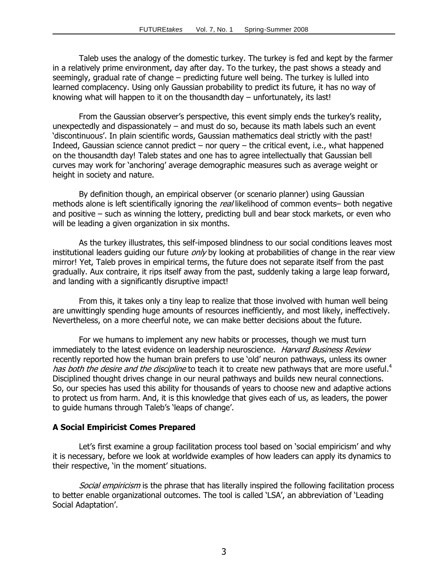Taleb uses the analogy of the domestic turkey. The turkey is fed and kept by the farmer in a relatively prime environment, day after day. To the turkey, the past shows a steady and seemingly, gradual rate of change – predicting future well being. The turkey is lulled into learned complacency. Using only Gaussian probability to predict its future, it has no way of knowing what will happen to it on the thousandth day – unfortunately, its last!

From the Gaussian observer's perspective, this event simply ends the turkey's reality, unexpectedly and dispassionately – and must do so, because its math labels such an event 'discontinuous'. In plain scientific words, Gaussian mathematics deal strictly with the past! Indeed, Gaussian science cannot predict – nor query – the critical event, i.e., what happened on the thousandth day! Taleb states and one has to agree intellectually that Gaussian bell curves may work for "anchoring" average demographic measures such as average weight or height in society and nature.

By definition though, an empirical observer (or scenario planner) using Gaussian methods alone is left scientifically ignoring the real likelihood of common events– both negative and positive – such as winning the lottery, predicting bull and bear stock markets, or even who will be leading a given organization in six months.

As the turkey illustrates, this self-imposed blindness to our social conditions leaves most institutional leaders guiding our future *only* by looking at probabilities of change in the rear view mirror! Yet, Taleb proves in empirical terms, the future does not separate itself from the past gradually. Aux contraire, it rips itself away from the past, suddenly taking a large leap forward, and landing with a significantly disruptive impact!

From this, it takes only a tiny leap to realize that those involved with human well being are unwittingly spending huge amounts of resources inefficiently, and most likely, ineffectively. Nevertheless, on a more cheerful note, we can make better decisions about the future.

For we humans to implement any new habits or processes, though we must turn immediately to the latest evidence on leadership neuroscience. Harvard Business Review recently reported how the human brain prefers to use "old" neuron pathways, unless its owner has both the desire and the discipline to teach it to create new pathways that are more useful.<sup>4</sup> Disciplined thought drives change in our neural pathways and builds new neural connections. So, our species has used this ability for thousands of years to choose new and adaptive actions to protect us from harm. And, it is this knowledge that gives each of us, as leaders, the power to guide humans through Taleb"s "leaps of change".

## **A Social Empiricist Comes Prepared**

Let's first examine a group facilitation process tool based on 'social empiricism' and why it is necessary, before we look at worldwide examples of how leaders can apply its dynamics to their respective, 'in the moment' situations.

Social empiricism is the phrase that has literally inspired the following facilitation process to better enable organizational outcomes. The tool is called "LSA", an abbreviation of "Leading Social Adaptation'.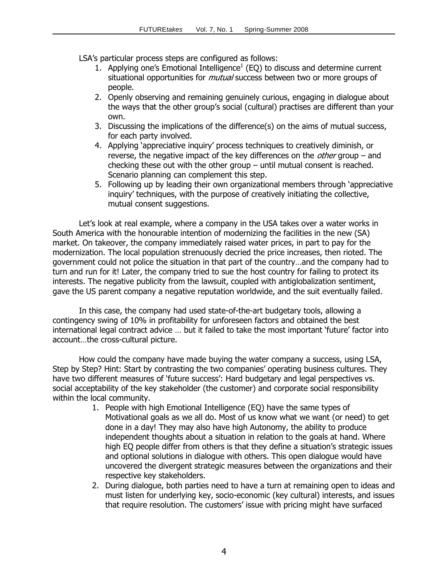LSA"s particular process steps are configured as follows:

- 1. Applying one's Emotional Intelligence<sup>1</sup> (EQ) to discuss and determine current situational opportunities for *mutual* success between two or more groups of people.
- 2. Openly observing and remaining genuinely curious, engaging in dialogue about the ways that the other group"s social (cultural) practises are different than your own.
- 3. Discussing the implications of the difference(s) on the aims of mutual success, for each party involved.
- 4. Applying "appreciative inquiry" process techniques to creatively diminish, or reverse, the negative impact of the key differences on the *other* group – and checking these out with the other group – until mutual consent is reached. Scenario planning can complement this step.
- 5. Following up by leading their own organizational members through "appreciative inquiry" techniques, with the purpose of creatively initiating the collective, mutual consent suggestions.

Let"s look at real example, where a company in the USA takes over a water works in South America with the honourable intention of modernizing the facilities in the new (SA) market. On takeover, the company immediately raised water prices, in part to pay for the modernization. The local population strenuously decried the price increases, then rioted. The government could not police the situation in that part of the country…and the company had to turn and run for it! Later, the company tried to sue the host country for failing to protect its interests. The negative publicity from the lawsuit, coupled with antiglobalization sentiment, gave the US parent company a negative reputation worldwide, and the suit eventually failed.

In this case, the company had used state-of-the-art budgetary tools, allowing a contingency swing of 10% in profitability for unforeseen factors and obtained the best international legal contract advice ... but it failed to take the most important 'future' factor into account…the cross-cultural picture.

How could the company have made buying the water company a success, using LSA, Step by Step? Hint: Start by contrasting the two companies' operating business cultures. They have two different measures of 'future success': Hard budgetary and legal perspectives vs. social acceptability of the key stakeholder (the customer) and corporate social responsibility within the local community.

- 1. People with high Emotional Intelligence (EQ) have the same types of Motivational goals as we all do. Most of us know what we want (or need) to get done in a day! They may also have high Autonomy, the ability to produce independent thoughts about a situation in relation to the goals at hand. Where high EQ people differ from others is that they define a situation's strategic issues and optional solutions in dialogue with others. This open dialogue would have uncovered the divergent strategic measures between the organizations and their respective key stakeholders.
- 2. During dialogue, both parties need to have a turn at remaining open to ideas and must listen for underlying key, socio-economic (key cultural) interests, and issues that require resolution. The customers' issue with pricing might have surfaced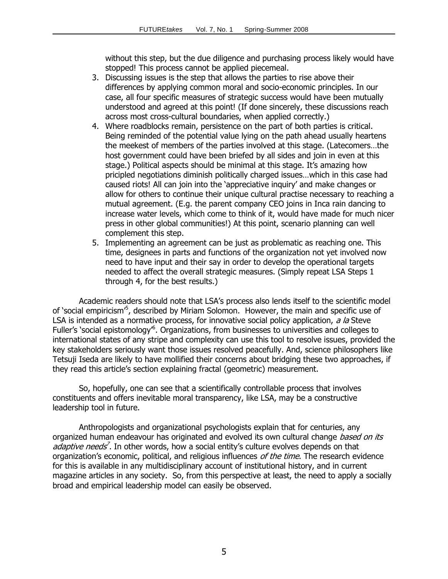without this step, but the due diligence and purchasing process likely would have stopped! This process cannot be applied piecemeal.

- 3. Discussing issues is the step that allows the parties to rise above their differences by applying common moral and socio-economic principles. In our case, all four specific measures of strategic success would have been mutually understood and agreed at this point! (If done sincerely, these discussions reach across most cross-cultural boundaries, when applied correctly.)
- 4. Where roadblocks remain, persistence on the part of both parties is critical. Being reminded of the potential value lying on the path ahead usually heartens the meekest of members of the parties involved at this stage. (Latecomers…the host government could have been briefed by all sides and join in even at this stage.) Political aspects should be minimal at this stage. It's amazing how pricipled negotiations diminish politically charged issues…which in this case had caused riots! All can join into the "appreciative inquiry" and make changes or allow for others to continue their unique cultural practise necessary to reaching a mutual agreement. (E.g. the parent company CEO joins in Inca rain dancing to increase water levels, which come to think of it, would have made for much nicer press in other global communities!) At this point, scenario planning can well complement this step.
- 5. Implementing an agreement can be just as problematic as reaching one. This time, designees in parts and functions of the organization not yet involved now need to have input and their say in order to develop the operational targets needed to affect the overall strategic measures. (Simply repeat LSA Steps 1 through 4, for the best results.)

Academic readers should note that LSA"s process also lends itself to the scientific model of 'social empiricism<sup>5</sup>, described by Miriam Solomon. However, the main and specific use of LSA is intended as a normative process, for innovative social policy application, a la Steve Fuller's `social epistomology<sup>,6</sup>. Organizations, from businesses to universities and colleges to international states of any stripe and complexity can use this tool to resolve issues, provided the key stakeholders seriously want those issues resolved peacefully. And, science philosophers like Tetsuji Iseda are likely to have mollified their concerns about bridging these two approaches, if they read this article"s section explaining fractal (geometric) measurement.

So, hopefully, one can see that a scientifically controllable process that involves constituents and offers inevitable moral transparency, like LSA, may be a constructive leadership tool in future.

Anthropologists and organizational psychologists explain that for centuries, any organized human endeavour has originated and evolved its own cultural change *based on its* adaptive needs<sup>7</sup>. In other words, how a social entity's culture evolves depends on that organization's economic, political, and religious influences of the time. The research evidence for this is available in any multidisciplinary account of institutional history, and in current magazine articles in any society. So, from this perspective at least, the need to apply a socially broad and empirical leadership model can easily be observed.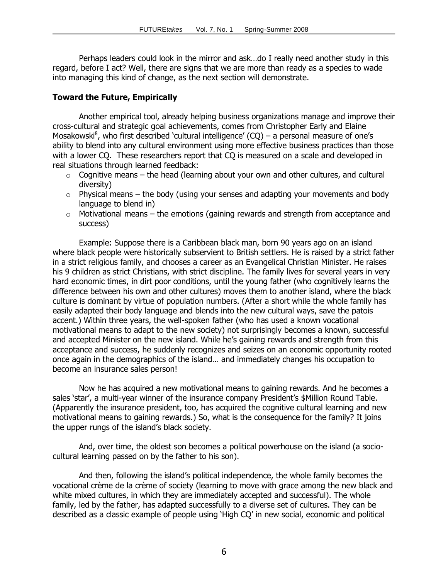Perhaps leaders could look in the mirror and ask…do I really need another study in this regard, before I act? Well, there are signs that we are more than ready as a species to wade into managing this kind of change, as the next section will demonstrate.

#### **Toward the Future, Empirically**

Another empirical tool, already helping business organizations manage and improve their cross-cultural and strategic goal achievements, comes from Christopher Early and Elaine Mosakowski<sup>8</sup>, who first described `cultural intelligence' (CQ) – a personal measure of one's ability to blend into any cultural environment using more effective business practices than those with a lower CQ. These researchers report that CQ is measured on a scale and developed in real situations through learned feedback:

- $\circ$  Cognitive means the head (learning about your own and other cultures, and cultural diversity)
- $\circ$  Physical means the body (using your senses and adapting your movements and body language to blend in)
- $\circ$  Motivational means the emotions (gaining rewards and strength from acceptance and success)

Example: Suppose there is a Caribbean black man, born 90 years ago on an island where black people were historically subservient to British settlers. He is raised by a strict father in a strict religious family, and chooses a career as an Evangelical Christian Minister. He raises his 9 children as strict Christians, with strict discipline. The family lives for several years in very hard economic times, in dirt poor conditions, until the young father (who cognitively learns the difference between his own and other cultures) moves them to another island, where the black culture is dominant by virtue of population numbers. (After a short while the whole family has easily adapted their body language and blends into the new cultural ways, save the patois accent.) Within three years, the well-spoken father (who has used a known vocational motivational means to adapt to the new society) not surprisingly becomes a known, successful and accepted Minister on the new island. While he"s gaining rewards and strength from this acceptance and success, he suddenly recognizes and seizes on an economic opportunity rooted once again in the demographics of the island… and immediately changes his occupation to become an insurance sales person!

Now he has acquired a new motivational means to gaining rewards. And he becomes a sales 'star', a multi-year winner of the insurance company President's \$Million Round Table. (Apparently the insurance president, too, has acquired the cognitive cultural learning and new motivational means to gaining rewards.) So, what is the consequence for the family? It joins the upper rungs of the island"s black society.

And, over time, the oldest son becomes a political powerhouse on the island (a sociocultural learning passed on by the father to his son).

And then, following the island"s political independence, the whole family becomes the vocational crème de la crème of society (learning to move with grace among the new black and white mixed cultures, in which they are immediately accepted and successful). The whole family, led by the father, has adapted successfully to a diverse set of cultures. They can be described as a classic example of people using "High CQ" in new social, economic and political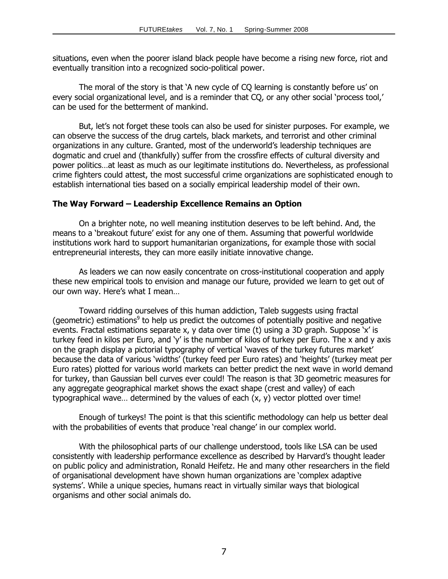situations, even when the poorer island black people have become a rising new force, riot and eventually transition into a recognized socio-political power.

The moral of the story is that 'A new cycle of CQ learning is constantly before us' on every social organizational level, and is a reminder that CO, or any other social 'process tool,' can be used for the betterment of mankind.

But, let's not forget these tools can also be used for sinister purposes. For example, we can observe the success of the drug cartels, black markets, and terrorist and other criminal organizations in any culture. Granted, most of the underworld"s leadership techniques are dogmatic and cruel and (thankfully) suffer from the crossfire effects of cultural diversity and power politics…at least as much as our legitimate institutions do. Nevertheless, as professional crime fighters could attest, the most successful crime organizations are sophisticated enough to establish international ties based on a socially empirical leadership model of their own.

#### **The Way Forward – Leadership Excellence Remains an Option**

On a brighter note, no well meaning institution deserves to be left behind. And, the means to a "breakout future" exist for any one of them. Assuming that powerful worldwide institutions work hard to support humanitarian organizations, for example those with social entrepreneurial interests, they can more easily initiate innovative change.

As leaders we can now easily concentrate on cross-institutional cooperation and apply these new empirical tools to envision and manage our future, provided we learn to get out of our own way. Here's what I mean...

Toward ridding ourselves of this human addiction, Taleb suggests using fractal (geometric) estimations<sup>9</sup> to help us predict the outcomes of potentially positive and negative events. Fractal estimations separate x, y data over time (t) using a 3D graph. Suppose 'x' is turkey feed in kilos per Euro, and 'y' is the number of kilos of turkey per Euro. The x and y axis on the graph display a pictorial typography of vertical 'waves of the turkey futures market' because the data of various "widths" (turkey feed per Euro rates) and "heights" (turkey meat per Euro rates) plotted for various world markets can better predict the next wave in world demand for turkey, than Gaussian bell curves ever could! The reason is that 3D geometric measures for any aggregate geographical market shows the exact shape (crest and valley) of each typographical wave… determined by the values of each (x, y) vector plotted over time!

Enough of turkeys! The point is that this scientific methodology can help us better deal with the probabilities of events that produce 'real change' in our complex world.

With the philosophical parts of our challenge understood, tools like LSA can be used consistently with leadership performance excellence as described by Harvard"s thought leader on public policy and administration, Ronald Heifetz. He and many other researchers in the field of organisational development have shown human organizations are "complex adaptive systems'. While a unique species, humans react in virtually similar ways that biological organisms and other social animals do.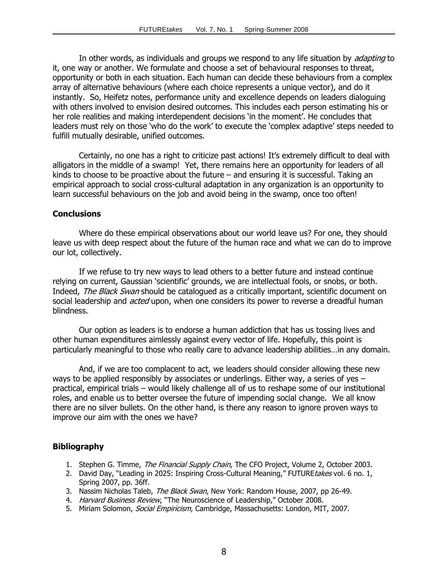In other words, as individuals and groups we respond to any life situation by *adapting* to it, one way or another. We formulate and choose a set of behavioural responses to threat, opportunity or both in each situation. Each human can decide these behaviours from a complex array of alternative behaviours (where each choice represents a unique vector), and do it instantly. So, Heifetz notes, performance unity and excellence depends on leaders dialoguing with others involved to envision desired outcomes. This includes each person estimating his or her role realities and making interdependent decisions 'in the moment'. He concludes that leaders must rely on those 'who do the work' to execute the 'complex adaptive' steps needed to fulfill mutually desirable, unified outcomes.

Certainly, no one has a right to criticize past actions! It's extremely difficult to deal with alligators in the middle of a swamp! Yet, there remains here an opportunity for leaders of all kinds to choose to be proactive about the future  $-$  and ensuring it is successful. Taking an empirical approach to social cross-cultural adaptation in any organization is an opportunity to learn successful behaviours on the job and avoid being in the swamp, once too often!

#### **Conclusions**

Where do these empirical observations about our world leave us? For one, they should leave us with deep respect about the future of the human race and what we can do to improve our lot, collectively.

If we refuse to try new ways to lead others to a better future and instead continue relying on current, Gaussian 'scientific' grounds, we are intellectual fools, or snobs, or both. Indeed, The Black Swan should be catalogued as a critically important, scientific document on social leadership and *acted* upon, when one considers its power to reverse a dreadful human blindness.

Our option as leaders is to endorse a human addiction that has us tossing lives and other human expenditures aimlessly against every vector of life. Hopefully, this point is particularly meaningful to those who really care to advance leadership abilities…in any domain.

And, if we are too complacent to act, we leaders should consider allowing these new ways to be applied responsibly by associates or underlings. Either way, a series of yes – practical, empirical trials – would likely challenge all of us to reshape some of our institutional roles, and enable us to better oversee the future of impending social change. We all know there are no silver bullets. On the other hand, is there any reason to ignore proven ways to improve our aim with the ones we have?

## **Bibliography**

- 1. Stephen G. Timme, *The Financial Supply Chain*, The CFO Project, Volume 2, October 2003.
- 2. David Day, "Leading in 2025: Inspiring Cross-Cultural Meaning," FUTURE takes vol. 6 no. 1, Spring 2007, pp. 36ff.
- 3. Nassim Nicholas Taleb, The Black Swan, New York: Random House, 2007, pp 26-49.
- 4. Harvard Business Review, "The Neuroscience of Leadership," October 2008.
- 5. Miriam Solomon, Social Empiricism, Cambridge, Massachusetts: London, MIT, 2007.